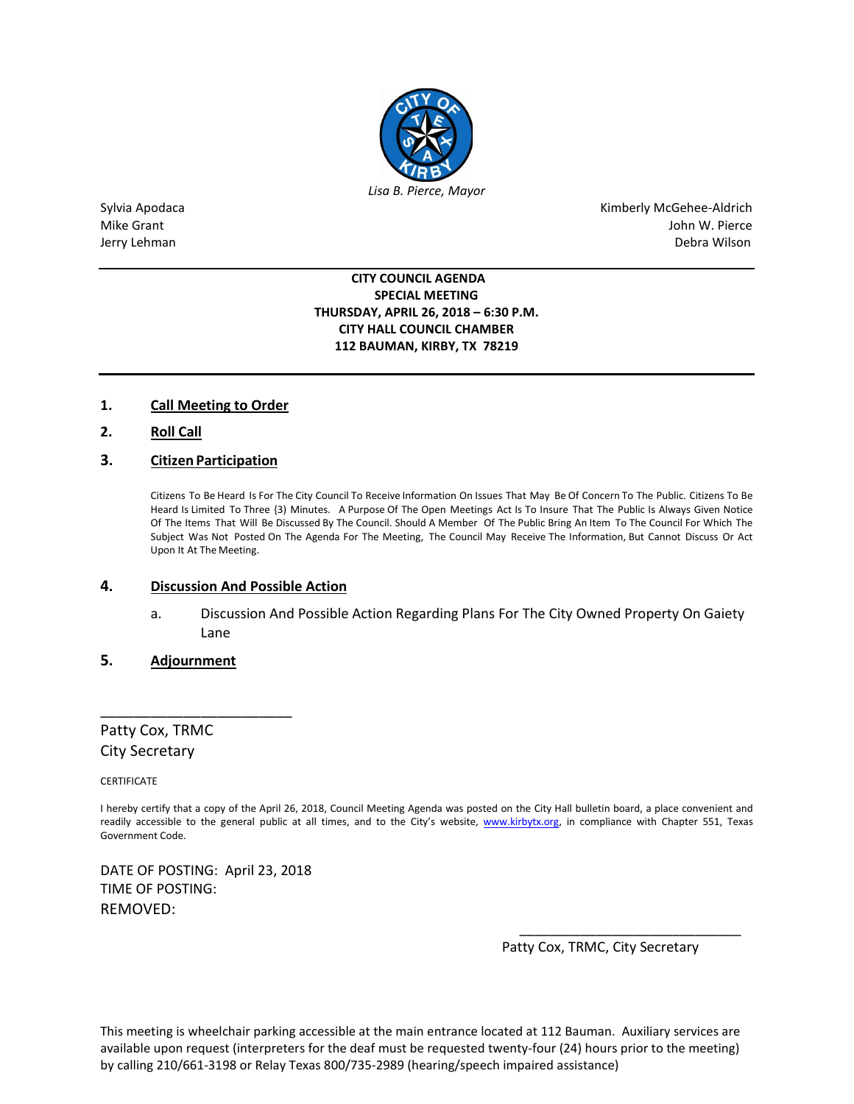

Sylvia Apodaca **Kimberly McGehee-Aldrich** Kimberly McGehee-Aldrich Mike Grant **Mike Grant** John W. Pierce Jerry Lehman Debra Wilson

#### **CITY COUNCIL AGENDA SPECIAL MEETING THURSDAY, APRIL 26, 2018 – 6:30 P.M. CITY HALL COUNCIL CHAMBER 112 BAUMAN, KIRBY, TX 78219**

### **1. Call Meeting to Order**

**2. Roll Call**

## **3. Citizen Participation**

Citizens To Be Heard Is For The City Council To Receive Information On Issues That May Be Of Concern To The Public. Citizens To Be Heard Is Limited To Three {3) Minutes. A Purpose Of The Open Meetings Act Is To Insure That The Public Is Always Given Notice Of The Items That Will Be Discussed By The Council. Should A Member Of The Public Bring An Item To The Council For Which The Subject Was Not Posted On The Agenda For The Meeting, The Council May Receive The Information, But Cannot Discuss Or Act Upon It At The Meeting.

#### **4. Discussion And Possible Action**

a. Discussion And Possible Action Regarding Plans For The City Owned Property On Gaiety Lane

### **5. Adjournment**

\_\_\_\_\_\_\_\_\_\_\_\_\_\_\_\_\_\_\_\_\_\_\_

Patty Cox, TRMC City Secretary

CERTIFICATE

I hereby certify that a copy of the April 26, 2018, Council Meeting Agenda was posted on the City Hall bulletin board, a place convenient and readily accessible to the general public at all times, and to the City's website, [www.kirbytx.org,](http://www.kirbytx.org/) in compliance with Chapter 551, Texas Government Code.

 $\frac{1}{2}$  ,  $\frac{1}{2}$  ,  $\frac{1}{2}$  ,  $\frac{1}{2}$  ,  $\frac{1}{2}$  ,  $\frac{1}{2}$  ,  $\frac{1}{2}$  ,  $\frac{1}{2}$  ,  $\frac{1}{2}$  ,  $\frac{1}{2}$  ,  $\frac{1}{2}$  ,  $\frac{1}{2}$  ,  $\frac{1}{2}$  ,  $\frac{1}{2}$  ,  $\frac{1}{2}$  ,  $\frac{1}{2}$  ,  $\frac{1}{2}$  ,  $\frac{1}{2}$  ,  $\frac{1$ 

DATE OF POSTING: April 23, 2018 TIME OF POSTING: REMOVED:

Patty Cox, TRMC, City Secretary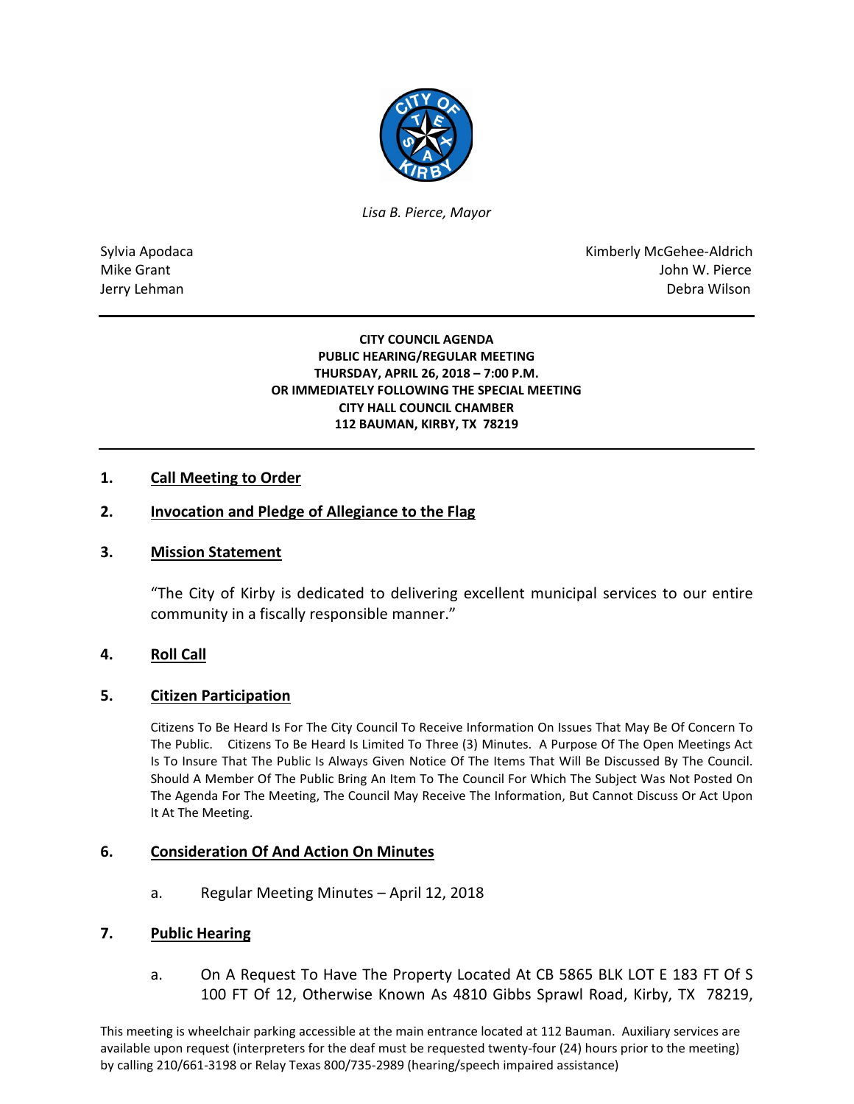

*Lisa B. Pierce, Mayor* 

Sylvia Apodaca National Apodaca Kimberly McGehee-Aldrich Mike Grant John W. Pierce Jerry Lehman Debra Wilson (2008) and the state of the state of the state of the state of the state of the state of the state of the state of the state of the state of the state of the state of the state of the state of the

> **CITY COUNCIL AGENDA PUBLIC HEARING/REGULAR MEETING THURSDAY, APRIL 26, 2018 – 7:00 P.M. OR IMMEDIATELY FOLLOWING THE SPECIAL MEETING CITY HALL COUNCIL CHAMBER 112 BAUMAN, KIRBY, TX 78219**

## **1. Call Meeting to Order**

## **2. Invocation and Pledge of Allegiance to the Flag**

### **3. Mission Statement**

"The City of Kirby is dedicated to delivering excellent municipal services to our entire community in a fiscally responsible manner."

### **4. Roll Call**

### **5. Citizen Participation**

Citizens To Be Heard Is For The City Council To Receive Information On Issues That May Be Of Concern To The Public. Citizens To Be Heard Is Limited To Three (3) Minutes. A Purpose Of The Open Meetings Act Is To Insure That The Public Is Always Given Notice Of The Items That Will Be Discussed By The Council. Should A Member Of The Public Bring An Item To The Council For Which The Subject Was Not Posted On The Agenda For The Meeting, The Council May Receive The Information, But Cannot Discuss Or Act Upon It At The Meeting.

### **6. Consideration Of And Action On Minutes**

a. Regular Meeting Minutes – April 12, 2018

### **7. Public Hearing**

a. On A Request To Have The Property Located At CB 5865 BLK LOT E 183 FT Of S 100 FT Of 12, Otherwise Known As 4810 Gibbs Sprawl Road, Kirby, TX 78219,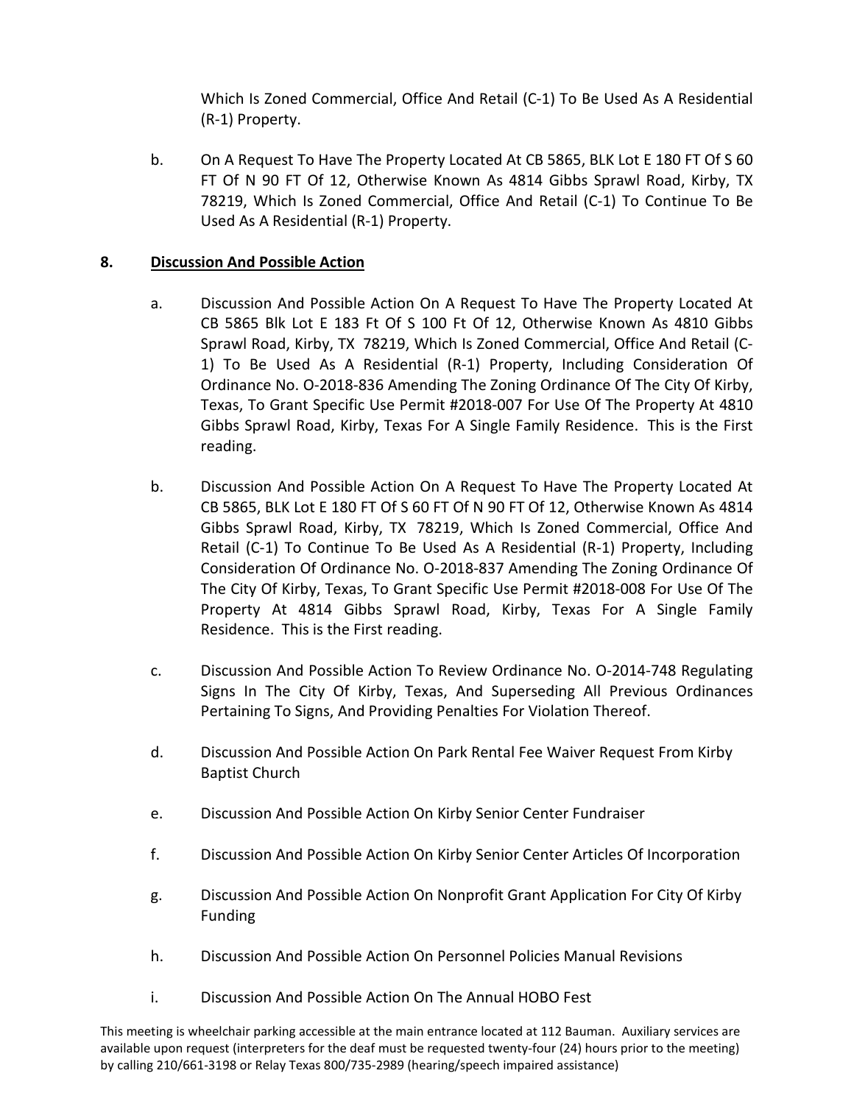Which Is Zoned Commercial, Office And Retail (C-1) To Be Used As A Residential (R-1) Property.

b. On A Request To Have The Property Located At CB 5865, BLK Lot E 180 FT Of S 60 FT Of N 90 FT Of 12, Otherwise Known As 4814 Gibbs Sprawl Road, Kirby, TX 78219, Which Is Zoned Commercial, Office And Retail (C-1) To Continue To Be Used As A Residential (R-1) Property.

# **8. Discussion And Possible Action**

- a. Discussion And Possible Action On A Request To Have The Property Located At CB 5865 Blk Lot E 183 Ft Of S 100 Ft Of 12, Otherwise Known As 4810 Gibbs Sprawl Road, Kirby, TX 78219, Which Is Zoned Commercial, Office And Retail (C-1) To Be Used As A Residential (R-1) Property, Including Consideration Of Ordinance No. O-2018-836 Amending The Zoning Ordinance Of The City Of Kirby, Texas, To Grant Specific Use Permit #2018-007 For Use Of The Property At 4810 Gibbs Sprawl Road, Kirby, Texas For A Single Family Residence. This is the First reading.
- b. Discussion And Possible Action On A Request To Have The Property Located At CB 5865, BLK Lot E 180 FT Of S 60 FT Of N 90 FT Of 12, Otherwise Known As 4814 Gibbs Sprawl Road, Kirby, TX 78219, Which Is Zoned Commercial, Office And Retail (C-1) To Continue To Be Used As A Residential (R-1) Property, Including Consideration Of Ordinance No. O-2018-837 Amending The Zoning Ordinance Of The City Of Kirby, Texas, To Grant Specific Use Permit #2018-008 For Use Of The Property At 4814 Gibbs Sprawl Road, Kirby, Texas For A Single Family Residence. This is the First reading.
- c. Discussion And Possible Action To Review Ordinance No. O-2014-748 Regulating Signs In The City Of Kirby, Texas, And Superseding All Previous Ordinances Pertaining To Signs, And Providing Penalties For Violation Thereof.
- d. Discussion And Possible Action On Park Rental Fee Waiver Request From Kirby Baptist Church
- e. Discussion And Possible Action On Kirby Senior Center Fundraiser
- f. Discussion And Possible Action On Kirby Senior Center Articles Of Incorporation
- g. Discussion And Possible Action On Nonprofit Grant Application For City Of Kirby Funding
- h. Discussion And Possible Action On Personnel Policies Manual Revisions
- i. Discussion And Possible Action On The Annual HOBO Fest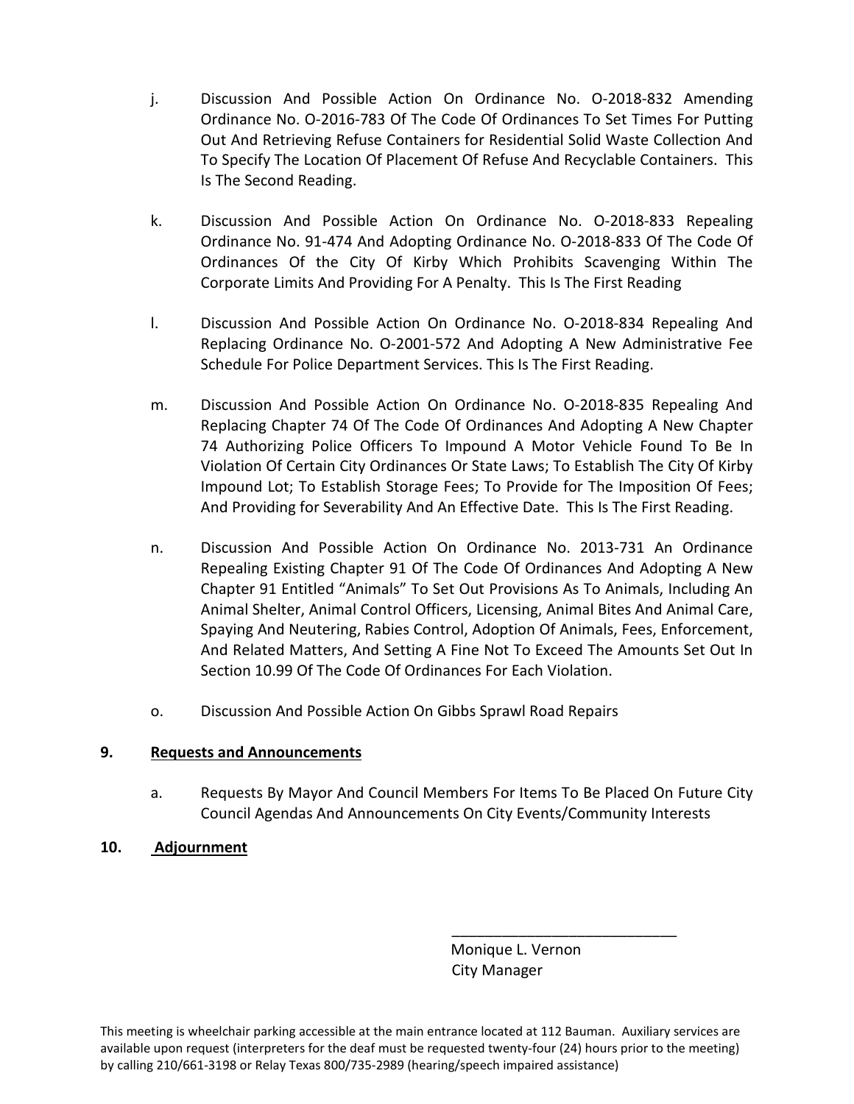- j. Discussion And Possible Action On Ordinance No. O-2018-832 Amending Ordinance No. O-2016-783 Of The Code Of Ordinances To Set Times For Putting Out And Retrieving Refuse Containers for Residential Solid Waste Collection And To Specify The Location Of Placement Of Refuse And Recyclable Containers. This Is The Second Reading.
- k. Discussion And Possible Action On Ordinance No. O-2018-833 Repealing Ordinance No. 91-474 And Adopting Ordinance No. O-2018-833 Of The Code Of Ordinances Of the City Of Kirby Which Prohibits Scavenging Within The Corporate Limits And Providing For A Penalty. This Is The First Reading
- l. Discussion And Possible Action On Ordinance No. O-2018-834 Repealing And Replacing Ordinance No. O-2001-572 And Adopting A New Administrative Fee Schedule For Police Department Services. This Is The First Reading.
- m. Discussion And Possible Action On Ordinance No. O-2018-835 Repealing And Replacing Chapter 74 Of The Code Of Ordinances And Adopting A New Chapter 74 Authorizing Police Officers To Impound A Motor Vehicle Found To Be In Violation Of Certain City Ordinances Or State Laws; To Establish The City Of Kirby Impound Lot; To Establish Storage Fees; To Provide for The Imposition Of Fees; And Providing for Severability And An Effective Date. This Is The First Reading.
- n. Discussion And Possible Action On Ordinance No. 2013-731 An Ordinance Repealing Existing Chapter 91 Of The Code Of Ordinances And Adopting A New Chapter 91 Entitled "Animals" To Set Out Provisions As To Animals, Including An Animal Shelter, Animal Control Officers, Licensing, Animal Bites And Animal Care, Spaying And Neutering, Rabies Control, Adoption Of Animals, Fees, Enforcement, And Related Matters, And Setting A Fine Not To Exceed The Amounts Set Out In Section 10.99 Of The Code Of Ordinances For Each Violation.
- o. Discussion And Possible Action On Gibbs Sprawl Road Repairs

## **9. Requests and Announcements**

a. Requests By Mayor And Council Members For Items To Be Placed On Future City Council Agendas And Announcements On City Events/Community Interests

# **10. Adjournment**

 Monique L. Vernon City Manager

\_\_\_\_\_\_\_\_\_\_\_\_\_\_\_\_\_\_\_\_\_\_\_\_\_\_\_